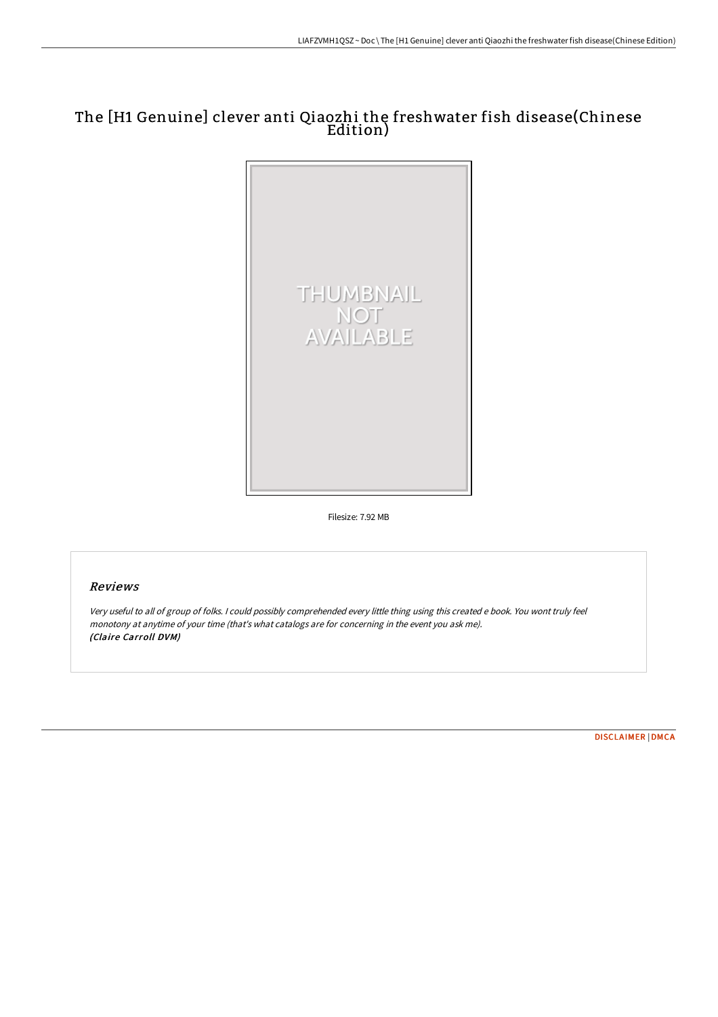# The [H1 Genuine] clever anti Qiaozhi the freshwater fish disease(Chinese Edition)



Filesize: 7.92 MB

#### Reviews

Very useful to all of group of folks. <sup>I</sup> could possibly comprehended every little thing using this created <sup>e</sup> book. You wont truly feel monotony at anytime of your time (that's what catalogs are for concerning in the event you ask me). (Claire Carroll DVM)

[DISCLAIMER](http://digilib.live/disclaimer.html) | [DMCA](http://digilib.live/dmca.html)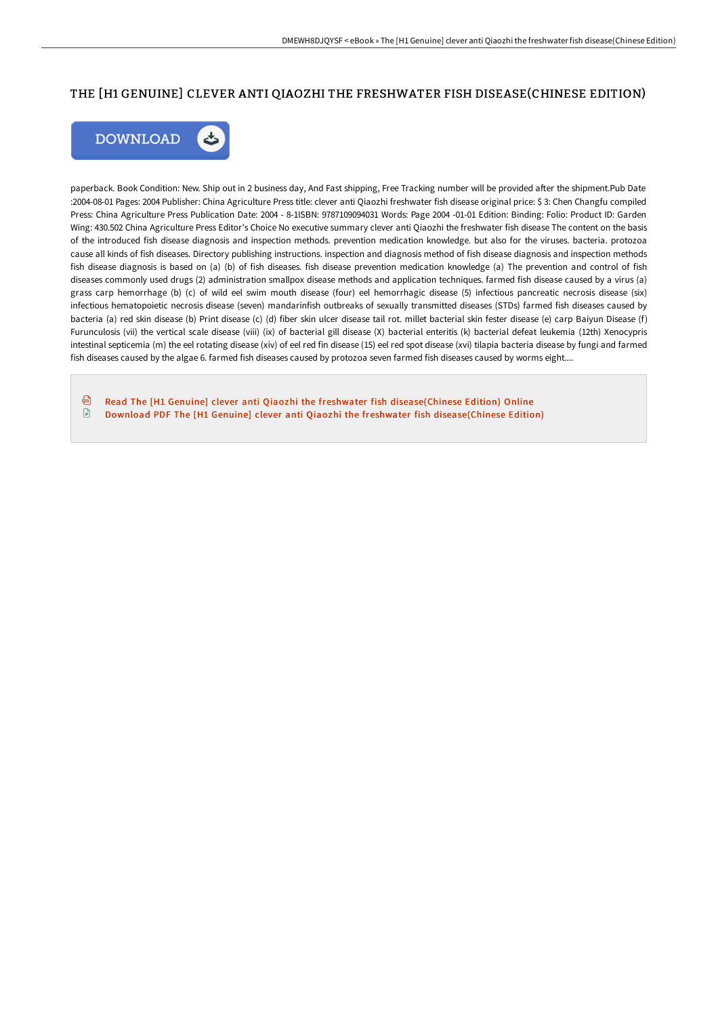### THE [H1 GENUINE] CLEVER ANTI QIAOZHI THE FRESHWATER FISH DISEASE(CHINESE EDITION)



paperback. Book Condition: New. Ship out in 2 business day, And Fast shipping, Free Tracking number will be provided after the shipment.Pub Date :2004-08-01 Pages: 2004 Publisher: China Agriculture Press title: clever anti Qiaozhi freshwater fish disease original price: \$ 3: Chen Changfu compiled Press: China Agriculture Press Publication Date: 2004 - 8-1ISBN: 9787109094031 Words: Page 2004 -01-01 Edition: Binding: Folio: Product ID: Garden Wing: 430.502 China Agriculture Press Editor's Choice No executive summary clever anti Qiaozhi the freshwater fish disease The content on the basis of the introduced fish disease diagnosis and inspection methods. prevention medication knowledge. but also for the viruses. bacteria. protozoa cause all kinds of fish diseases. Directory publishing instructions. inspection and diagnosis method of fish disease diagnosis and inspection methods fish disease diagnosis is based on (a) (b) of fish diseases. fish disease prevention medication knowledge (a) The prevention and control of fish diseases commonly used drugs (2) administration smallpox disease methods and application techniques. farmed fish disease caused by a virus (a) grass carp hemorrhage (b) (c) of wild eel swim mouth disease (four) eel hemorrhagic disease (5) infectious pancreatic necrosis disease (six) infectious hematopoietic necrosis disease (seven) mandarinfish outbreaks of sexually transmitted diseases (STDs) farmed fish diseases caused by bacteria (a) red skin disease (b) Print disease (c) (d) fiber skin ulcer disease tail rot. millet bacterial skin fester disease (e) carp Baiyun Disease (f) Furunculosis (vii) the vertical scale disease (viii) (ix) of bacterial gill disease (X) bacterial enteritis (k) bacterial defeat leukemia (12th) Xenocypris intestinal septicemia (m) the eel rotating disease (xiv) of eel red fin disease (15) eel red spot disease (xvi) tilapia bacteria disease by fungi and farmed fish diseases caused by the algae 6. farmed fish diseases caused by protozoa seven farmed fish diseases caused by worms eight....

⊕ Read The [H1 Genuine] clever anti Qiaozhi the freshwater fish [disease\(Chinese](http://digilib.live/the-h1-genuine-clever-anti-qiaozhi-the-freshwate.html) Edition) Online  $\begin{array}{c} \square \end{array}$ Download PDF The [H1 Genuine] clever anti Qiaozhi the freshwater fish [disease\(Chinese](http://digilib.live/the-h1-genuine-clever-anti-qiaozhi-the-freshwate.html) Edition)